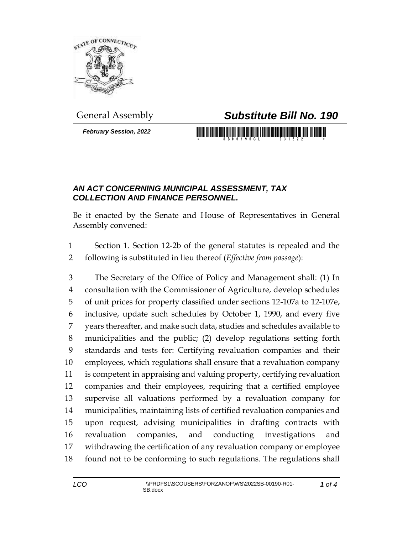

## General Assembly *Substitute Bill No. 190*

*February Session, 2022*

## <u> 1989 - An Dùbhlachd ann an Dùbhaidh ann an Dùbhaidh ann an Dùbhlachd ann an Dùbhlachd ann an Dùbhlachd ann an </u>

## *AN ACT CONCERNING MUNICIPAL ASSESSMENT, TAX COLLECTION AND FINANCE PERSONNEL.*

Be it enacted by the Senate and House of Representatives in General Assembly convened:

 Section 1. Section 12-2b of the general statutes is repealed and the following is substituted in lieu thereof (*Effective from passage*):

 The Secretary of the Office of Policy and Management shall: (1) In consultation with the Commissioner of Agriculture, develop schedules of unit prices for property classified under sections 12-107a to 12-107e, inclusive, update such schedules by October 1, 1990, and every five years thereafter, and make such data, studies and schedules available to municipalities and the public; (2) develop regulations setting forth standards and tests for: Certifying revaluation companies and their employees, which regulations shall ensure that a revaluation company is competent in appraising and valuing property, certifying revaluation companies and their employees, requiring that a certified employee supervise all valuations performed by a revaluation company for municipalities, maintaining lists of certified revaluation companies and upon request, advising municipalities in drafting contracts with revaluation companies, and conducting investigations and withdrawing the certification of any revaluation company or employee found not to be conforming to such regulations. The regulations shall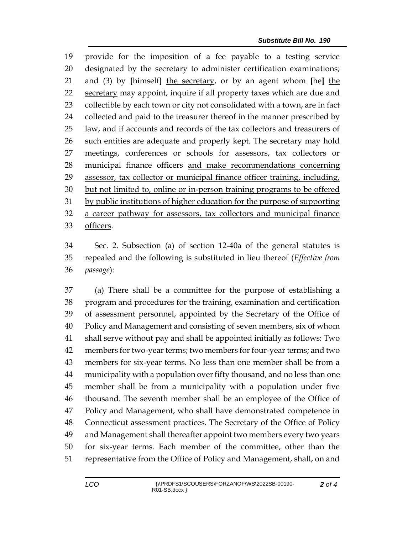provide for the imposition of a fee payable to a testing service designated by the secretary to administer certification examinations; and (3) by **[**himself**]** the secretary, or by an agent whom **[**he**]** the secretary may appoint, inquire if all property taxes which are due and collectible by each town or city not consolidated with a town, are in fact 24 collected and paid to the treasurer thereof in the manner prescribed by law, and if accounts and records of the tax collectors and treasurers of such entities are adequate and properly kept. The secretary may hold meetings, conferences or schools for assessors, tax collectors or municipal finance officers and make recommendations concerning assessor, tax collector or municipal finance officer training, including, but not limited to, online or in-person training programs to be offered by public institutions of higher education for the purpose of supporting a career pathway for assessors, tax collectors and municipal finance officers.

 Sec. 2. Subsection (a) of section 12-40a of the general statutes is repealed and the following is substituted in lieu thereof (*Effective from passage*):

 (a) There shall be a committee for the purpose of establishing a program and procedures for the training, examination and certification of assessment personnel, appointed by the Secretary of the Office of Policy and Management and consisting of seven members, six of whom shall serve without pay and shall be appointed initially as follows: Two members for two-year terms; two members for four-year terms; and two members for six-year terms. No less than one member shall be from a municipality with a population over fifty thousand, and no less than one member shall be from a municipality with a population under five thousand. The seventh member shall be an employee of the Office of Policy and Management, who shall have demonstrated competence in Connecticut assessment practices. The Secretary of the Office of Policy and Management shall thereafter appoint two members every two years for six-year terms. Each member of the committee, other than the representative from the Office of Policy and Management, shall, on and

*of 4*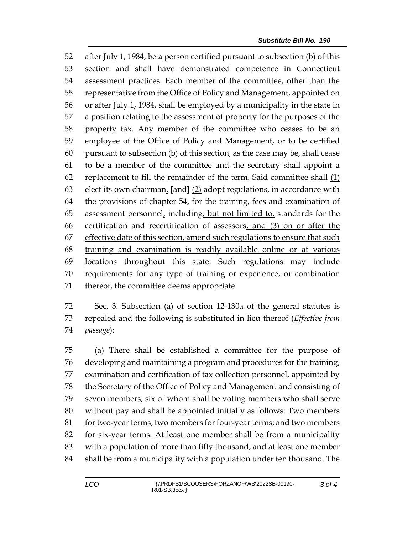after July 1, 1984, be a person certified pursuant to subsection (b) of this section and shall have demonstrated competence in Connecticut assessment practices. Each member of the committee, other than the representative from the Office of Policy and Management, appointed on or after July 1, 1984, shall be employed by a municipality in the state in a position relating to the assessment of property for the purposes of the property tax. Any member of the committee who ceases to be an employee of the Office of Policy and Management, or to be certified pursuant to subsection (b) of this section, as the case may be, shall cease to be a member of the committee and the secretary shall appoint a 62 replacement to fill the remainder of the term. Said committee shall  $(1)$  elect its own chairman, **[**and**]** (2) adopt regulations, in accordance with the provisions of chapter 54, for the training, fees and examination of 65 assessment personnel, including, but not limited to, standards for the certification and recertification of assessors, and (3) on or after the 67 effective date of this section, amend such regulations to ensure that such training and examination is readily available online or at various locations throughout this state. Such regulations may include requirements for any type of training or experience, or combination thereof, the committee deems appropriate.

 Sec. 3. Subsection (a) of section 12-130a of the general statutes is repealed and the following is substituted in lieu thereof (*Effective from passage*):

 (a) There shall be established a committee for the purpose of developing and maintaining a program and procedures for the training, examination and certification of tax collection personnel, appointed by the Secretary of the Office of Policy and Management and consisting of seven members, six of whom shall be voting members who shall serve without pay and shall be appointed initially as follows: Two members for two-year terms; two members for four-year terms; and two members for six-year terms. At least one member shall be from a municipality with a population of more than fifty thousand, and at least one member shall be from a municipality with a population under ten thousand. The